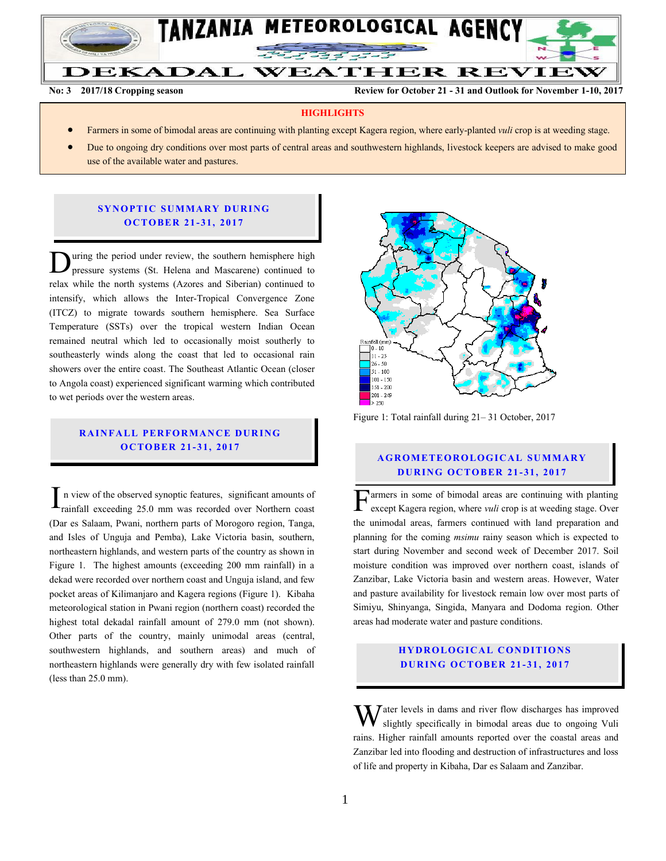

**No: 3** 2017/18 Cropping season Review for October 21 - 31 and Outlook for November 1-10, 2017

#### **HIGHLIGHTS**

- Farmers in some of bimodal areas are continuing with planting except Kagera region, where early-planted *vuli* crop is at weeding stage.
- Due to ongoing dry conditions over most parts of central areas and southwestern highlands, livestock keepers are advised to make good use of the available water and pastures.

#### **SYNOPTIC SUMMARY DURING O C TO BER 21 - 31, 2017**

uring the period under review, the southern hemisphere high pressure systems (St. Helena and Mascarene) continued to relax while the north systems (Azores and Siberian) continued to intensify, which allows the Inter-Tropical Convergence Zone (ITCZ) to migrate towards southern hemisphere. Sea Surface Temperature (SSTs) over the tropical western Indian Ocean remained neutral which led to occasionally moist southerly to southeasterly winds along the coast that led to occasional rain showers over the entire coast. The Southeast Atlantic Ocean (closer to Angola coast) experienced significant warming which contributed to wet periods over the western areas. D

# **RAINFALL PERFORMANCE DURING O C TO BER 21 - 31, 2017**

n view of the observed synoptic features, significant amounts of rainfall exceeding 25.0 mm was recorded over Northern coast (Dar es Salaam, Pwani, northern parts of Morogoro region, Tanga, and Isles of Unguja and Pemba), Lake Victoria basin, southern, northeastern highlands, and western parts of the country as shown in Figure 1. The highest amounts (exceeding 200 mm rainfall) in a dekad were recorded over northern coast and Unguja island, and few pocket areas of Kilimanjaro and Kagera regions (Figure 1). Kibaha meteorological station in Pwani region (northern coast) recorded the highest total dekadal rainfall amount of 279.0 mm (not shown). Other parts of the country, mainly unimodal areas (central, southwestern highlands, and southern areas) and much of northeastern highlands were generally dry with few isolated rainfall (less than 25.0 mm).  $\Gamma$  n view of the observed synoptic features, significant amounts of<br>rainfall exceeding 25.0 mm was recorded over Northern coast



Figure 1: Total rainfall during 21– 31 October, 2017

#### **A G RO METEO R O LOG ICA L SU MMA RY D UR ING OC TO BER 21 - 31 , 2017**

armers in some of bimodal areas are continuing with planting  $\Gamma$  except Kagera region, where *vuli* crop is at weeding stage. Over the unimodal areas, farmers continued with land preparation and planning for the coming *msimu* rainy season which is expected to start during November and second week of December 2017. Soil moisture condition was improved over northern coast, islands of Zanzibar, Lake Victoria basin and western areas. However, Water and pasture availability for livestock remain low over most parts of Simiyu, Shinyanga, Singida, Manyara and Dodoma region. Other areas had moderate water and pasture conditions.

### **HYDROLOGICAL CONDITIONS D UR ING OC TO BER 21 - 31, 2017**

 $\sum$  ater levels in dams and river flow discharges has improved slightly specifically in bimodal areas due to ongoing Vuli rains. Higher rainfall amounts reported over the coastal areas and Zanzibar led into flooding and destruction of infrastructures and loss of life and property in Kibaha, Dar es Salaam and Zanzibar. W